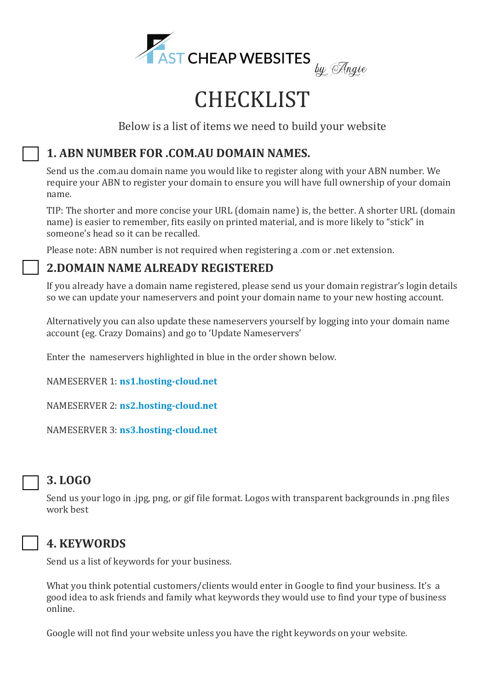

# **CHECKLIST**

Below is a list of items we need to build your website

# **1. ABN NUMBER FOR .COM.AU DOMAIN NAMES.**

Send us the .com.au domain name you would like to register along with your ABN number. We require your ABN to register your domain to ensure you will have full ownership of your domain name.

TIP: The shorter and more concise your URL (domain name) is, the better. A shorter URL (domain name) is easier to remember, fits easily on printed material, and is more likely to "stick" in someone's head so it can be recalled.

Please note: ABN number is not required when registering a .com or .net extension.

# **2.DOMAIN NAME ALREADY REGISTERED**

If you already have a domain name registered, please send us your domain registrar's login details so we can update your nameservers and point your domain name to your new hosting account.

Alternatively you can also update these nameservers yourself by logging into your domain name account (eg. Crazy Domains) and go to 'Update Nameservers'

Enter the nameservers highlighted in blue in the order shown below.

NAMESERVER 1: **ns1.hosting-cloud.net**

NAMESERVER 2: **ns2.hosting-cloud.net**

NAMESERVER 3: **ns3.hosting-cloud.net**



**3. LOGO**

Send us your logo in .jpg, png, or gif file format. Logos with transparent backgrounds in .png files work best

#### **4. KEYWORDS**

Send us a list of keywords for your business.

What you think potential customers/clients would enter in Google to find your business. It's a good idea to ask friends and family what keywords they would use to find your type of business online.

Google will not find your website unless you have the right keywords on your website.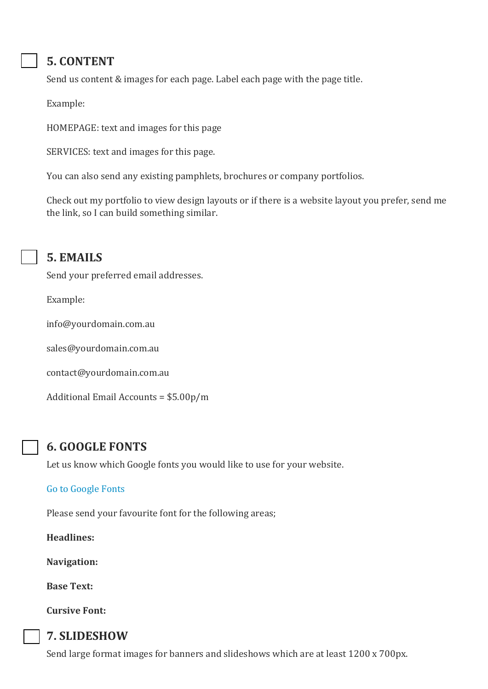# **5. CONTENT**

Send us content & images for each page. Label each page with the page title.

Example:

HOMEPAGE: text and images for this page

SERVICES: text and images for this page.

You can also send any existing pamphlets, brochures or company portfolios.

Check out my portfolio to view design layouts or if there is a website layout you prefer, send me the link, so I can build something similar.



#### **5. EMAILS**

Send your preferred email addresses.

Example:

info@yourdomain.com.au

sales@yourdomain.com.au

contact@yourdomain.com.au

Additional Email Accounts = \$5.00p/m

#### **6. GOOGLE FONTS**

Let us know which Google fonts you would like to use for your website.

#### [Go to Google Fonts](https://fonts.google.com/)

Please send your favourite font for the following areas;

**Headlines:**

**Navigation:**

**Base Text:**

**Cursive Font:**

# **7. SLIDESHOW**

Send large format images for banners and slideshows which are at least 1200 x 700px.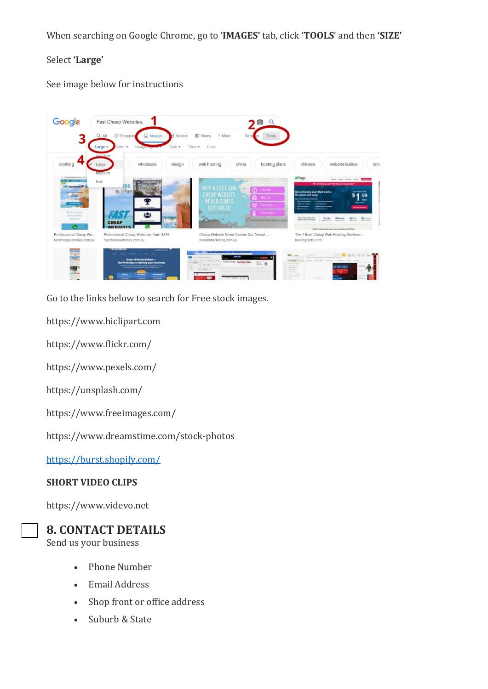When searching on Google Chrome, go to '**IMAGES'** tab, click '**TOOLS**' and then **'SIZE'**

#### Select **'Large'**

See image below for instructions



Go to the links below to search for Free stock images.

https://www.hiclipart.com

https://www.flickr.com/

https://www.pexels.com/

https://unsplash.com/

https://www.freeimages.com/

https://www.dreamstime.com/stock-photos

<https://burst.shopify.com/>

#### **SHORT VIDEO CLIPS**

https://www.videvo.net



#### **8. CONTACT DETAILS**

Send us your business

- Phone Number
- Email Address
- Shop front or office address
- Suburb & State